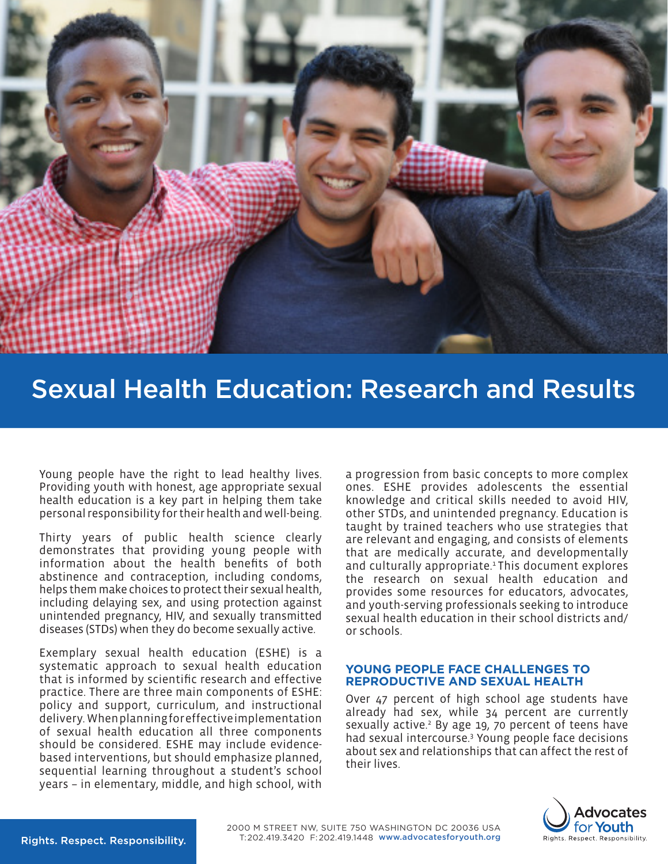

# Sexual Health Education: Research and Results

Young people have the right to lead healthy lives. Providing youth with honest, age appropriate sexual health education is a key part in helping them take personal responsibility for their health and well-being.

Thirty years of public health science clearly demonstrates that providing young people with information about the health benefits of both abstinence and contraception, including condoms, helps them make choices to protect their sexual health, including delaying sex, and using protection against unintended pregnancy, HIV, and sexually transmitted diseases (STDs) when they do become sexually active.

Exemplary sexual health education (ESHE) is a systematic approach to sexual health education that is informed by scientific research and effective practice. There are three main components of ESHE: policy and support, curriculum, and instructional delivery. When planning for effective implementation of sexual health education all three components should be considered. ESHE may include evidencebased interventions, but should emphasize planned, sequential learning throughout a student's school years – in elementary, middle, and high school, with

a progression from basic concepts to more complex ones. ESHE provides adolescents the essential knowledge and critical skills needed to avoid HIV, other STDs, and unintended pregnancy. Education is taught by trained teachers who use strategies that are relevant and engaging, and consists of elements that are medically accurate, and developmentally and culturally appropriate.<sup>1</sup> This document explores the research on sexual health education and provides some resources for educators, advocates, and youth-serving professionals seeking to introduce sexual health education in their school districts and/ or schools.

#### **YOUNG PEOPLE FACE CHALLENGES TO REPRODUCTIVE AND SEXUAL HEALTH**

Over 47 percent of high school age students have already had sex, while 34 percent are currently sexually active.<sup>2</sup> By age 19, 70 percent of teens have had sexual intercourse.3 Young people face decisions about sex and relationships that can affect the rest of their lives.

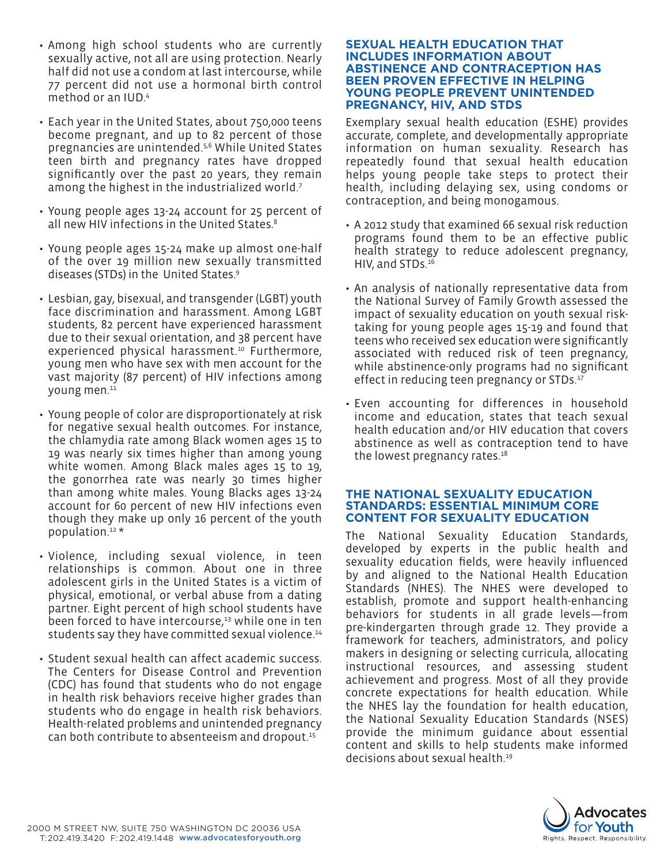- Among high school students who are currently sexually active, not all are using protection. Nearly half did not use a condom at last intercourse, while 77 percent did not use a hormonal birth control method or an IUD.4
- Each year in the United States, about 750,000 teens become pregnant, and up to 82 percent of those pregnancies are unintended.5,6 While United States teen birth and pregnancy rates have dropped significantly over the past 20 years, they remain among the highest in the industrialized world.7
- Young people ages 13-24 account for 25 percent of all new HIV infections in the United States.<sup>8</sup>
- Young people ages 15-24 make up almost one-half of the over 19 million new sexually transmitted diseases (STDs) in the United States.9
- Lesbian, gay, bisexual, and transgender (LGBT) youth face discrimination and harassment. Among LGBT students, 82 percent have experienced harassment due to their sexual orientation, and 38 percent have experienced physical harassment.<sup>10</sup> Furthermore, young men who have sex with men account for the vast majority (87 percent) of HIV infections among young men.<sup>11</sup>
- Young people of color are disproportionately at risk for negative sexual health outcomes. For instance, the chlamydia rate among Black women ages 15 to 19 was nearly six times higher than among young white women. Among Black males ages 15 to 19, the gonorrhea rate was nearly 30 times higher than among white males. Young Blacks ages 13-24 account for 60 percent of new HIV infections even though they make up only 16 percent of the youth population.12 \*
- Violence, including sexual violence, in teen relationships is common. About one in three adolescent girls in the United States is a victim of physical, emotional, or verbal abuse from a dating partner. Eight percent of high school students have been forced to have intercourse,<sup>13</sup> while one in ten students say they have committed sexual violence.<sup>14</sup>
- Student sexual health can affect academic success. The Centers for Disease Control and Prevention (CDC) has found that students who do not engage in health risk behaviors receive higher grades than students who do engage in health risk behaviors. Health-related problems and unintended pregnancy can both contribute to absenteeism and dropout.15

#### **SEXUAL HEALTH EDUCATION THAT INCLUDES INFORMATION ABOUT ABSTINENCE AND CONTRACEPTION HAS BEEN PROVEN EFFECTIVE IN HELPING YOUNG PEOPLE PREVENT UNINTENDED PREGNANCY, HIV, AND STDS**

Exemplary sexual health education (ESHE) provides accurate, complete, and developmentally appropriate information on human sexuality. Research has repeatedly found that sexual health education helps young people take steps to protect their health, including delaying sex, using condoms or contraception, and being monogamous.

- A 2012 study that examined 66 sexual risk reduction programs found them to be an effective public health strategy to reduce adolescent pregnancy, HIV, and STDs.16
- An analysis of nationally representative data from the National Survey of Family Growth assessed the impact of sexuality education on youth sexual risktaking for young people ages 15-19 and found that teens who received sex education were significantly associated with reduced risk of teen pregnancy, while abstinence-only programs had no significant effect in reducing teen pregnancy or STDs.<sup>17</sup>
- Even accounting for differences in household income and education, states that teach sexual health education and/or HIV education that covers abstinence as well as contraception tend to have the lowest pregnancy rates.<sup>18</sup>

# **THE NATIONAL SEXUALITY EDUCATION STANDARDS: ESSENTIAL MINIMUM CORE CONTENT FOR SEXUALITY EDUCATION**

The National Sexuality Education Standards, developed by experts in the public health and sexuality education fields, were heavily influenced by and aligned to the National Health Education Standards (NHES). The NHES were developed to establish, promote and support health-enhancing behaviors for students in all grade levels—from pre-kindergarten through grade 12. They provide a framework for teachers, administrators, and policy makers in designing or selecting curricula, allocating instructional resources, and assessing student achievement and progress. Most of all they provide concrete expectations for health education. While the NHES lay the foundation for health education, the National Sexuality Education Standards (NSES) provide the minimum guidance about essential content and skills to help students make informed decisions about sexual health.19

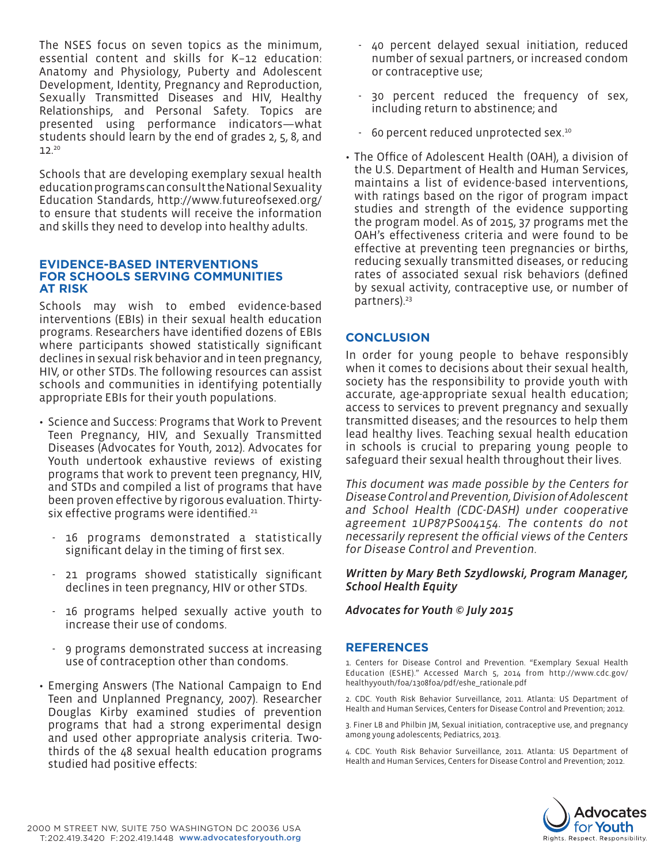The NSES focus on seven topics as the minimum, essential content and skills for K–12 education: Anatomy and Physiology, Puberty and Adolescent Development, Identity, Pregnancy and Reproduction, Sexually Transmitted Diseases and HIV, Healthy Relationships, and Personal Safety. Topics are presented using performance indicators—what students should learn by the end of grades 2, 5, 8, and  $12.<sup>20</sup>$ 

Schools that are developing exemplary sexual health education programs can consult the National Sexuality Education Standards, http://www.futureofsexed.org/ to ensure that students will receive the information and skills they need to develop into healthy adults.

#### **EVIDENCE-BASED INTERVENTIONS FOR SCHOOLS SERVING COMMUNITIES AT RISK**

Schools may wish to embed evidence-based interventions (EBIs) in their sexual health education programs. Researchers have identified dozens of EBIs where participants showed statistically significant declines in sexual risk behavior and in teen pregnancy, HIV, or other STDs. The following resources can assist schools and communities in identifying potentially appropriate EBIs for their youth populations.

- Science and Success: Programs that Work to Prevent Teen Pregnancy, HIV, and Sexually Transmitted Diseases (Advocates for Youth, 2012). Advocates for Youth undertook exhaustive reviews of existing programs that work to prevent teen pregnancy, HIV, and STDs and compiled a list of programs that have been proven effective by rigorous evaluation. Thirtysix effective programs were identified.<sup>21</sup>
	- 16 programs demonstrated a statistically significant delay in the timing of first sex.
	- 21 programs showed statistically significant declines in teen pregnancy, HIV or other STDs.
	- 16 programs helped sexually active youth to increase their use of condoms.
	- 9 programs demonstrated success at increasing use of contraception other than condoms.
- Emerging Answers (The National Campaign to End Teen and Unplanned Pregnancy, 2007). Researcher Douglas Kirby examined studies of prevention programs that had a strong experimental design and used other appropriate analysis criteria. Twothirds of the 48 sexual health education programs studied had positive effects:
- 40 percent delayed sexual initiation, reduced number of sexual partners, or increased condom or contraceptive use;
- 30 percent reduced the frequency of sex, including return to abstinence; and
- 60 percent reduced unprotected sex.10
- The Office of Adolescent Health (OAH), a division of the U.S. Department of Health and Human Services, maintains a list of evidence-based interventions, with ratings based on the rigor of program impact studies and strength of the evidence supporting the program model. As of 2015, 37 programs met the OAH's effectiveness criteria and were found to be effective at preventing teen pregnancies or births, reducing sexually transmitted diseases, or reducing rates of associated sexual risk behaviors (defined by sexual activity, contraceptive use, or number of partners).<sup>23</sup>

# **CONCLUSION**

In order for young people to behave responsibly when it comes to decisions about their sexual health, society has the responsibility to provide youth with accurate, age-appropriate sexual health education; access to services to prevent pregnancy and sexually transmitted diseases; and the resources to help them lead healthy lives. Teaching sexual health education in schools is crucial to preparing young people to safeguard their sexual health throughout their lives.

*This document was made possible by the Centers for Disease Control and Prevention, Division of Adolescent and School Health (CDC-DASH) under cooperative agreement 1UP87PS004154. The contents do not necessarily represent the official views of the Centers for Disease Control and Prevention.* 

#### *Written by Mary Beth Szydlowski, Program Manager, School Health Equity*

## *Advocates for Youth © July 2015*

## **REFERENCES**

1. Centers for Disease Control and Prevention. "Exemplary Sexual Health Education (ESHE)." Accessed March 5, 2014 from http://www.cdc.gov/ healthyyouth/foa/1308foa/pdf/eshe\_rationale.pdf

2. CDC. Youth Risk Behavior Surveillance, 2011. Atlanta: US Department of Health and Human Services, Centers for Disease Control and Prevention; 2012.

3. Finer LB and Philbin JM, Sexual initiation, contraceptive use, and pregnancy among young adolescents; Pediatrics, 2013.

4. CDC. Youth Risk Behavior Surveillance, 2011. Atlanta: US Department of Health and Human Services, Centers for Disease Control and Prevention; 2012.